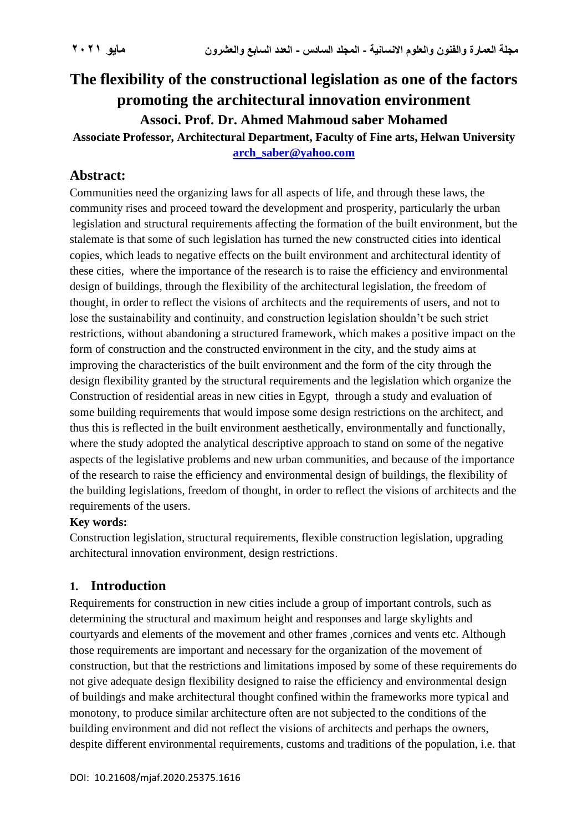# **The flexibility of the constructional legislation as one of the factors promoting the architectural innovation environment Associ. Prof. Dr. Ahmed Mahmoud saber Mohamed**

**Associate Professor, Architectural Department, Faculty of Fine arts, Helwan University [arch\\_saber@yahoo.com](mailto:arch_saber@yahoo.com)**

## **Abstract:**

Communities need the organizing laws for all aspects of life, and through these laws, the community rises and proceed toward the development and prosperity, particularly the urban legislation and structural requirements affecting the formation of the built environment, but the stalemate is that some of such legislation has turned the new constructed cities into identical copies, which leads to negative effects on the built environment and architectural identity of these cities, where the importance of the research is to raise the efficiency and environmental design of buildings, through the flexibility of the architectural legislation, the freedom of thought, in order to reflect the visions of architects and the requirements of users, and not to lose the sustainability and continuity, and construction legislation shouldn't be such strict restrictions, without abandoning a structured framework, which makes a positive impact on the form of construction and the constructed environment in the city, and the study aims at improving the characteristics of the built environment and the form of the city through the design flexibility granted by the structural requirements and the legislation which organize the Construction of residential areas in new cities in Egypt, through a study and evaluation of some building requirements that would impose some design restrictions on the architect, and thus this is reflected in the built environment aesthetically, environmentally and functionally, where the study adopted the analytical descriptive approach to stand on some of the negative aspects of the legislative problems and new urban communities, and because of the importance of the research to raise the efficiency and environmental design of buildings, the flexibility of the building legislations, freedom of thought, in order to reflect the visions of architects and the requirements of the users.

## **Key words:**

Construction legislation, structural requirements, flexible construction legislation, upgrading architectural innovation environment, design restrictions .

## **1. Introduction**

Requirements for construction in new cities include a group of important controls, such as determining the structural and maximum height and responses and large skylights and courtyards and elements of the movement and other frames ,cornices and vents etc. Although those requirements are important and necessary for the organization of the movement of construction, but that the restrictions and limitations imposed by some of these requirements do not give adequate design flexibility designed to raise the efficiency and environmental design of buildings and make architectural thought confined within the frameworks more typical and monotony, to produce similar architecture often are not subjected to the conditions of the building environment and did not reflect the visions of architects and perhaps the owners, despite different environmental requirements, customs and traditions of the population, i.e. that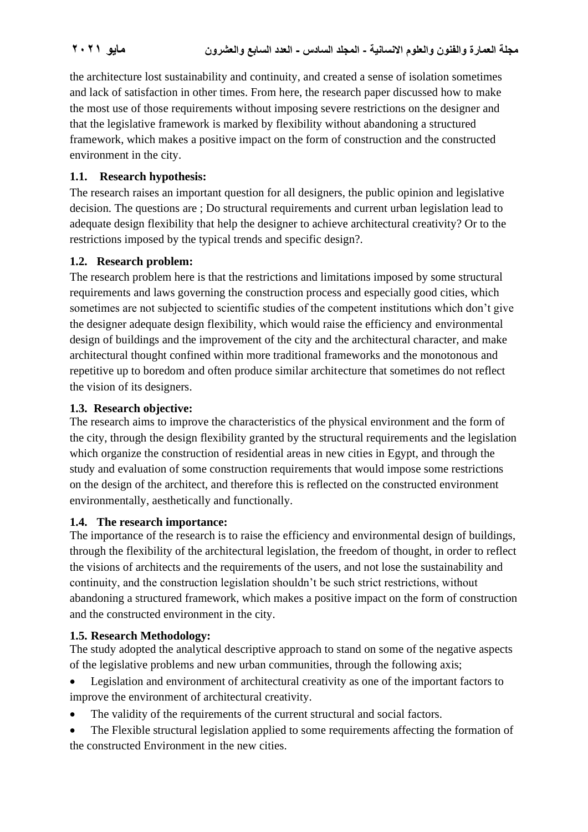the architecture lost sustainability and continuity, and created a sense of isolation sometimes and lack of satisfaction in other times. From here, the research paper discussed how to make the most use of those requirements without imposing severe restrictions on the designer and that the legislative framework is marked by flexibility without abandoning a structured framework, which makes a positive impact on the form of construction and the constructed environment in the city.

## **1.1. Research hypothesis:**

The research raises an important question for all designers, the public opinion and legislative decision. The questions are ; Do structural requirements and current urban legislation lead to adequate design flexibility that help the designer to achieve architectural creativity? Or to the restrictions imposed by the typical trends and specific design?.

### **1.2. Research problem:**

The research problem here is that the restrictions and limitations imposed by some structural requirements and laws governing the construction process and especially good cities, which sometimes are not subjected to scientific studies of the competent institutions which don't give the designer adequate design flexibility, which would raise the efficiency and environmental design of buildings and the improvement of the city and the architectural character, and make architectural thought confined within more traditional frameworks and the monotonous and repetitive up to boredom and often produce similar architecture that sometimes do not reflect the vision of its designers.

### **1.3. Research objective:**

The research aims to improve the characteristics of the physical environment and the form of the city, through the design flexibility granted by the structural requirements and the legislation which organize the construction of residential areas in new cities in Egypt, and through the study and evaluation of some construction requirements that would impose some restrictions on the design of the architect, and therefore this is reflected on the constructed environment environmentally, aesthetically and functionally.

### **1.4. The research importance:**

The importance of the research is to raise the efficiency and environmental design of buildings, through the flexibility of the architectural legislation, the freedom of thought, in order to reflect the visions of architects and the requirements of the users, and not lose the sustainability and continuity, and the construction legislation shouldn't be such strict restrictions, without abandoning a structured framework, which makes a positive impact on the form of construction and the constructed environment in the city.

### **1.5. Research Methodology:**

The study adopted the analytical descriptive approach to stand on some of the negative aspects of the legislative problems and new urban communities, through the following axis;

- Legislation and environment of architectural creativity as one of the important factors to improve the environment of architectural creativity.
- The validity of the requirements of the current structural and social factors.
- The Flexible structural legislation applied to some requirements affecting the formation of the constructed Environment in the new cities.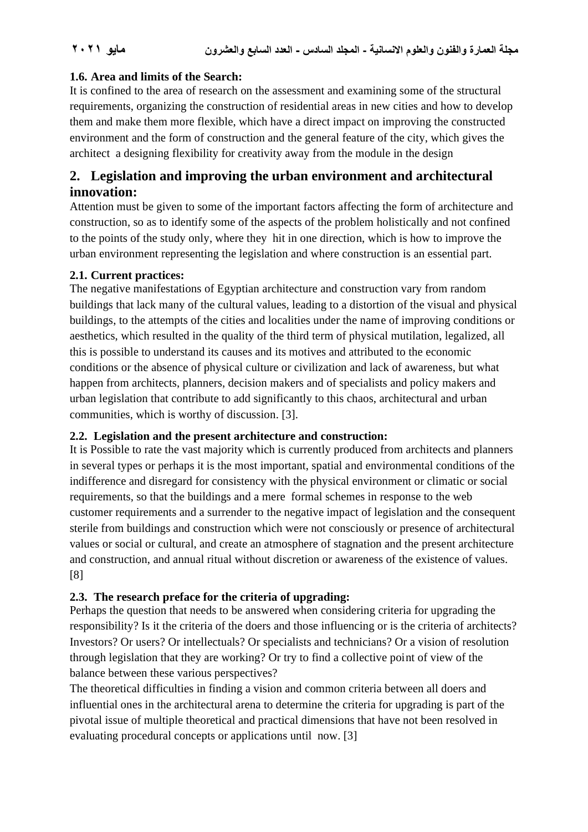### **1.6. Area and limits of the Search:**

It is confined to the area of research on the assessment and examining some of the structural requirements, organizing the construction of residential areas in new cities and how to develop them and make them more flexible, which have a direct impact on improving the constructed environment and the form of construction and the general feature of the city, which gives the architect a designing flexibility for creativity away from the module in the design

## **2. Legislation and improving the urban environment and architectural innovation:**

Attention must be given to some of the important factors affecting the form of architecture and construction, so as to identify some of the aspects of the problem holistically and not confined to the points of the study only, where they hit in one direction, which is how to improve the urban environment representing the legislation and where construction is an essential part.

### **2.1. Current practices:**

The negative manifestations of Egyptian architecture and construction vary from random buildings that lack many of the cultural values, leading to a distortion of the visual and physical buildings, to the attempts of the cities and localities under the name of improving conditions or aesthetics, which resulted in the quality of the third term of physical mutilation, legalized, all this is possible to understand its causes and its motives and attributed to the economic conditions or the absence of physical culture or civilization and lack of awareness, but what happen from architects, planners, decision makers and of specialists and policy makers and urban legislation that contribute to add significantly to this chaos, architectural and urban communities, which is worthy of discussion. [3].

### **2.2. Legislation and the present architecture and construction:**

It is Possible to rate the vast majority which is currently produced from architects and planners in several types or perhaps it is the most important, spatial and environmental conditions of the indifference and disregard for consistency with the physical environment or climatic or social requirements, so that the buildings and a mere formal schemes in response to the web customer requirements and a surrender to the negative impact of legislation and the consequent sterile from buildings and construction which were not consciously or presence of architectural values or social or cultural, and create an atmosphere of stagnation and the present architecture and construction, and annual ritual without discretion or awareness of the existence of values. [8]

## **2.3. The research preface for the criteria of upgrading:**

Perhaps the question that needs to be answered when considering criteria for upgrading the responsibility? Is it the criteria of the doers and those influencing or is the criteria of architects? Investors? Or users? Or intellectuals? Or specialists and technicians? Or a vision of resolution through legislation that they are working? Or try to find a collective point of view of the balance between these various perspectives?

The theoretical difficulties in finding a vision and common criteria between all doers and influential ones in the architectural arena to determine the criteria for upgrading is part of the pivotal issue of multiple theoretical and practical dimensions that have not been resolved in evaluating procedural concepts or applications until now. [3]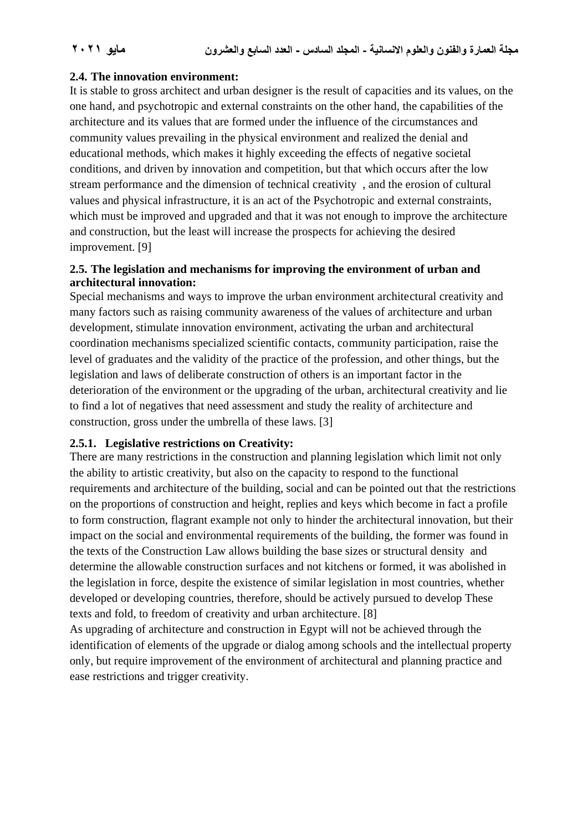### **2.4. The innovation environment:**

It is stable to gross architect and urban designer is the result of capacities and its values, on the one hand, and psychotropic and external constraints on the other hand, the capabilities of the architecture and its values that are formed under the influence of the circumstances and community values prevailing in the physical environment and realized the denial and educational methods, which makes it highly exceeding the effects of negative societal conditions, and driven by innovation and competition, but that which occurs after the low stream performance and the dimension of technical creativity , and the erosion of cultural values and physical infrastructure, it is an act of the Psychotropic and external constraints, which must be improved and upgraded and that it was not enough to improve the architecture and construction, but the least will increase the prospects for achieving the desired improvement. [9]

### **2.5. The legislation and mechanisms for improving the environment of urban and architectural innovation:**

Special mechanisms and ways to improve the urban environment architectural creativity and many factors such as raising community awareness of the values of architecture and urban development, stimulate innovation environment, activating the urban and architectural coordination mechanisms specialized scientific contacts, community participation, raise the level of graduates and the validity of the practice of the profession, and other things, but the legislation and laws of deliberate construction of others is an important factor in the deterioration of the environment or the upgrading of the urban, architectural creativity and lie to find a lot of negatives that need assessment and study the reality of architecture and construction, gross under the umbrella of these laws. [3]

### **2.5.1. Legislative restrictions on Creativity:**

There are many restrictions in the construction and planning legislation which limit not only the ability to artistic creativity, but also on the capacity to respond to the functional requirements and architecture of the building, social and can be pointed out that the restrictions on the proportions of construction and height, replies and keys which become in fact a profile to form construction, flagrant example not only to hinder the architectural innovation, but their impact on the social and environmental requirements of the building, the former was found in the texts of the Construction Law allows building the base sizes or structural density and determine the allowable construction surfaces and not kitchens or formed, it was abolished in the legislation in force, despite the existence of similar legislation in most countries, whether developed or developing countries, therefore, should be actively pursued to develop These texts and fold, to freedom of creativity and urban architecture. [8]

As upgrading of architecture and construction in Egypt will not be achieved through the identification of elements of the upgrade or dialog among schools and the intellectual property only, but require improvement of the environment of architectural and planning practice and ease restrictions and trigger creativity.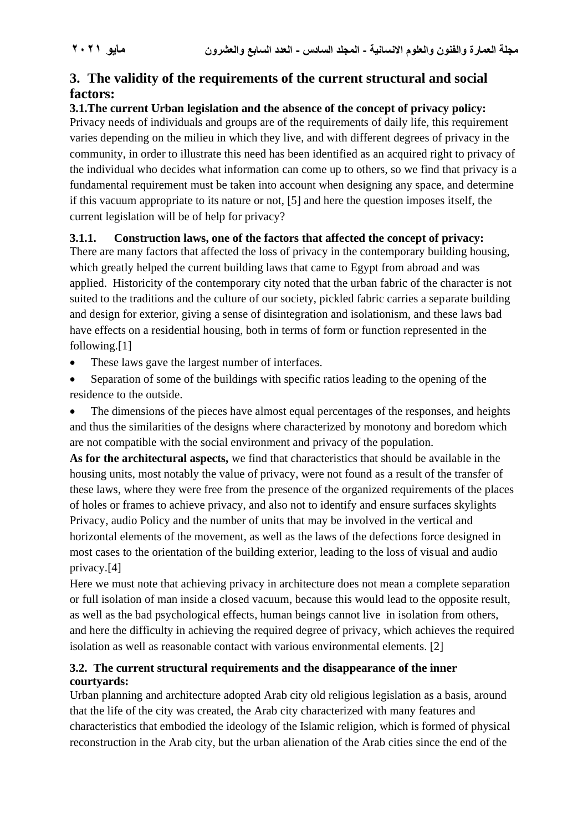## **3. The validity of the requirements of the current structural and social factors:**

**3.1.The current Urban legislation and the absence of the concept of privacy policy:** Privacy needs of individuals and groups are of the requirements of daily life, this requirement varies depending on the milieu in which they live, and with different degrees of privacy in the community, in order to illustrate this need has been identified as an acquired right to privacy of the individual who decides what information can come up to others, so we find that privacy is a fundamental requirement must be taken into account when designing any space, and determine if this vacuum appropriate to its nature or not, [5] and here the question imposes itself, the current legislation will be of help for privacy?

## **3.1.1. Construction laws, one of the factors that affected the concept of privacy:**

There are many factors that affected the loss of privacy in the contemporary building housing, which greatly helped the current building laws that came to Egypt from abroad and was applied. Historicity of the contemporary city noted that the urban fabric of the character is not suited to the traditions and the culture of our society, pickled fabric carries a separate building and design for exterior, giving a sense of disintegration and isolationism, and these laws bad have effects on a residential housing, both in terms of form or function represented in the following.[1]

- These laws gave the largest number of interfaces.
- Separation of some of the buildings with specific ratios leading to the opening of the residence to the outside.

The dimensions of the pieces have almost equal percentages of the responses, and heights and thus the similarities of the designs where characterized by monotony and boredom which are not compatible with the social environment and privacy of the population.

**As for the architectural aspects,** we find that characteristics that should be available in the housing units, most notably the value of privacy, were not found as a result of the transfer of these laws, where they were free from the presence of the organized requirements of the places of holes or frames to achieve privacy, and also not to identify and ensure surfaces skylights Privacy, audio Policy and the number of units that may be involved in the vertical and horizontal elements of the movement, as well as the laws of the defections force designed in most cases to the orientation of the building exterior, leading to the loss of visual and audio privacy.[4]

Here we must note that achieving privacy in architecture does not mean a complete separation or full isolation of man inside a closed vacuum, because this would lead to the opposite result, as well as the bad psychological effects, human beings cannot live in isolation from others, and here the difficulty in achieving the required degree of privacy, which achieves the required isolation as well as reasonable contact with various environmental elements. [2]

## **3.2. The current structural requirements and the disappearance of the inner courtyards:**

Urban planning and architecture adopted Arab city old religious legislation as a basis, around that the life of the city was created, the Arab city characterized with many features and characteristics that embodied the ideology of the Islamic religion, which is formed of physical reconstruction in the Arab city, but the urban alienation of the Arab cities since the end of the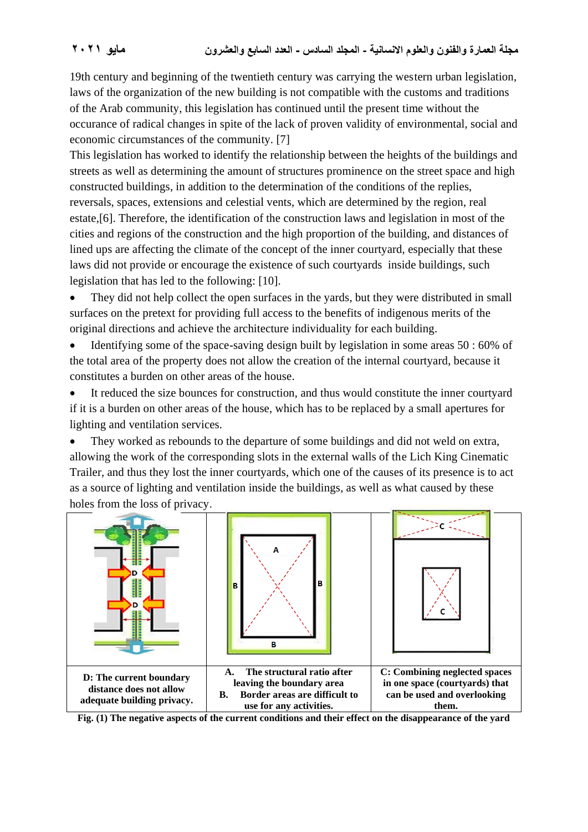19th century and beginning of the twentieth century was carrying the western urban legislation, laws of the organization of the new building is not compatible with the customs and traditions of the Arab community, this legislation has continued until the present time without the occurance of radical changes in spite of the lack of proven validity of environmental, social and economic circumstances of the community. [7]

This legislation has worked to identify the relationship between the heights of the buildings and streets as well as determining the amount of structures prominence on the street space and high constructed buildings, in addition to the determination of the conditions of the replies, reversals, spaces, extensions and celestial vents, which are determined by the region, real estate,[6]. Therefore, the identification of the construction laws and legislation in most of the cities and regions of the construction and the high proportion of the building, and distances of lined ups are affecting the climate of the concept of the inner courtyard, especially that these laws did not provide or encourage the existence of such courtyards inside buildings, such legislation that has led to the following: [10].

• They did not help collect the open surfaces in the yards, but they were distributed in small surfaces on the pretext for providing full access to the benefits of indigenous merits of the original directions and achieve the architecture individuality for each building.

• Identifying some of the space-saving design built by legislation in some areas 50 : 60% of the total area of the property does not allow the creation of the internal courtyard, because it constitutes a burden on other areas of the house.

It reduced the size bounces for construction, and thus would constitute the inner courtyard if it is a burden on other areas of the house, which has to be replaced by a small apertures for lighting and ventilation services.

• They worked as rebounds to the departure of some buildings and did not weld on extra, allowing the work of the corresponding slots in the external walls of the Lich King Cinematic Trailer, and thus they lost the inner courtyards, which one of the causes of its presence is to act as a source of lighting and ventilation inside the buildings, as well as what caused by these holes from the loss of privacy .



**Fig. (1) The negative aspects of the current conditions and their effect on the disappearance of the yard**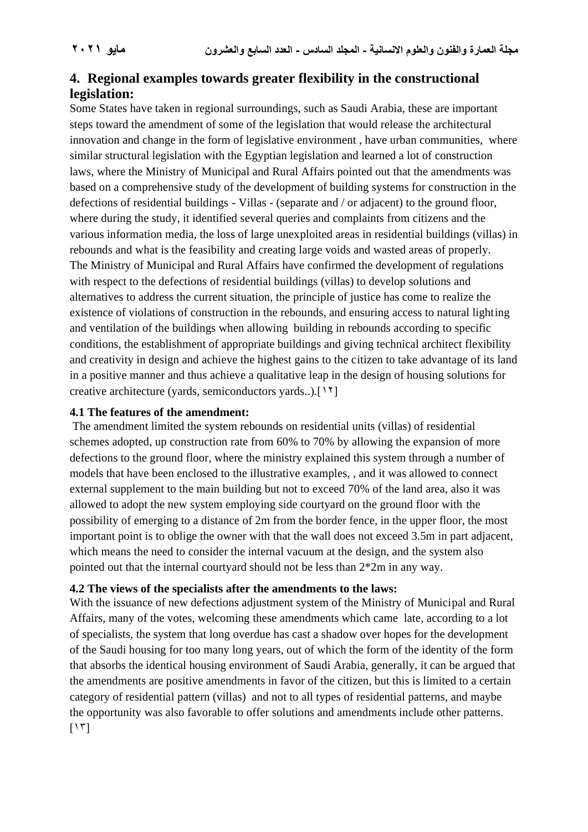## **4. Regional examples towards greater flexibility in the constructional legislation:**

Some States have taken in regional surroundings, such as Saudi Arabia, these are important steps toward the amendment of some of the legislation that would release the architectural innovation and change in the form of legislative environment , have urban communities, where similar structural legislation with the Egyptian legislation and learned a lot of construction laws, where the Ministry of Municipal and Rural Affairs pointed out that the amendments was based on a comprehensive study of the development of building systems for construction in the defections of residential buildings - Villas - (separate and / or adjacent) to the ground floor, where during the study, it identified several queries and complaints from citizens and the various information media, the loss of large unexploited areas in residential buildings (villas) in rebounds and what is the feasibility and creating large voids and wasted areas of properly. The Ministry of Municipal and Rural Affairs have confirmed the development of regulations with respect to the defections of residential buildings (villas) to develop solutions and alternatives to address the current situation, the principle of justice has come to realize the existence of violations of construction in the rebounds, and ensuring access to natural lighting and ventilation of the buildings when allowing building in rebounds according to specific conditions, the establishment of appropriate buildings and giving technical architect flexibility and creativity in design and achieve the highest gains to the citizen to take advantage of its land in a positive manner and thus achieve a qualitative leap in the design of housing solutions for creative architecture (yards, semiconductors yards..).[12]

#### **4.1 The features of the amendment:**

The amendment limited the system rebounds on residential units (villas) of residential schemes adopted, up construction rate from 60% to 70% by allowing the expansion of more defections to the ground floor, where the ministry explained this system through a number of models that have been enclosed to the illustrative examples, , and it was allowed to connect external supplement to the main building but not to exceed 70% of the land area, also it was allowed to adopt the new system employing side courtyard on the ground floor with the possibility of emerging to a distance of 2m from the border fence, in the upper floor, the most important point is to oblige the owner with that the wall does not exceed 3.5m in part adjacent, which means the need to consider the internal vacuum at the design, and the system also pointed out that the internal courtyard should not be less than 2\*2m in any way.

#### **4.2 The views of the specialists after the amendments to the laws:**

With the issuance of new defections adjustment system of the Ministry of Municipal and Rural Affairs, many of the votes, welcoming these amendments which came late, according to a lot of specialists, the system that long overdue has cast a shadow over hopes for the development of the Saudi housing for too many long years, out of which the form of the identity of the form that absorbs the identical housing environment of Saudi Arabia, generally, it can be argued that the amendments are positive amendments in favor of the citizen, but this is limited to a certain category of residential pattern (villas) and not to all types of residential patterns, and maybe the opportunity was also favorable to offer solutions and amendments include other patterns.  $[15]$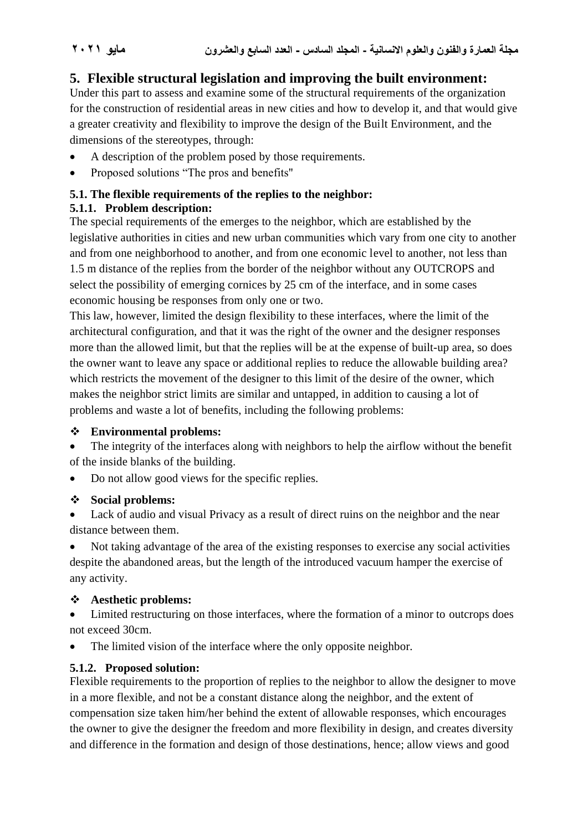## **5. Flexible structural legislation and improving the built environment:**

Under this part to assess and examine some of the structural requirements of the organization for the construction of residential areas in new cities and how to develop it, and that would give a greater creativity and flexibility to improve the design of the Built Environment, and the dimensions of the stereotypes, through:

- A description of the problem posed by those requirements.
- Proposed solutions "The pros and benefits"

### **5.1. The flexible requirements of the replies to the neighbor:**

## **5.1.1. Problem description:**

The special requirements of the emerges to the neighbor, which are established by the legislative authorities in cities and new urban communities which vary from one city to another and from one neighborhood to another, and from one economic level to another, not less than 1.5 m distance of the replies from the border of the neighbor without any OUTCROPS and select the possibility of emerging cornices by 25 cm of the interface, and in some cases economic housing be responses from only one or two.

This law, however, limited the design flexibility to these interfaces, where the limit of the architectural configuration, and that it was the right of the owner and the designer responses more than the allowed limit, but that the replies will be at the expense of built-up area, so does the owner want to leave any space or additional replies to reduce the allowable building area? which restricts the movement of the designer to this limit of the desire of the owner, which makes the neighbor strict limits are similar and untapped, in addition to causing a lot of problems and waste a lot of benefits, including the following problems:

### ❖ **Environmental problems:**

The integrity of the interfaces along with neighbors to help the airflow without the benefit of the inside blanks of the building.

• Do not allow good views for the specific replies.

## ❖ **Social problems:**

Lack of audio and visual Privacy as a result of direct ruins on the neighbor and the near distance between them.

• Not taking advantage of the area of the existing responses to exercise any social activities despite the abandoned areas, but the length of the introduced vacuum hamper the exercise of any activity.

## ❖ **Aesthetic problems:**

• Limited restructuring on those interfaces, where the formation of a minor to outcrops does not exceed 30cm.

The limited vision of the interface where the only opposite neighbor.

## **5.1.2. Proposed solution:**

Flexible requirements to the proportion of replies to the neighbor to allow the designer to move in a more flexible, and not be a constant distance along the neighbor, and the extent of compensation size taken him/her behind the extent of allowable responses, which encourages the owner to give the designer the freedom and more flexibility in design, and creates diversity and difference in the formation and design of those destinations, hence; allow views and good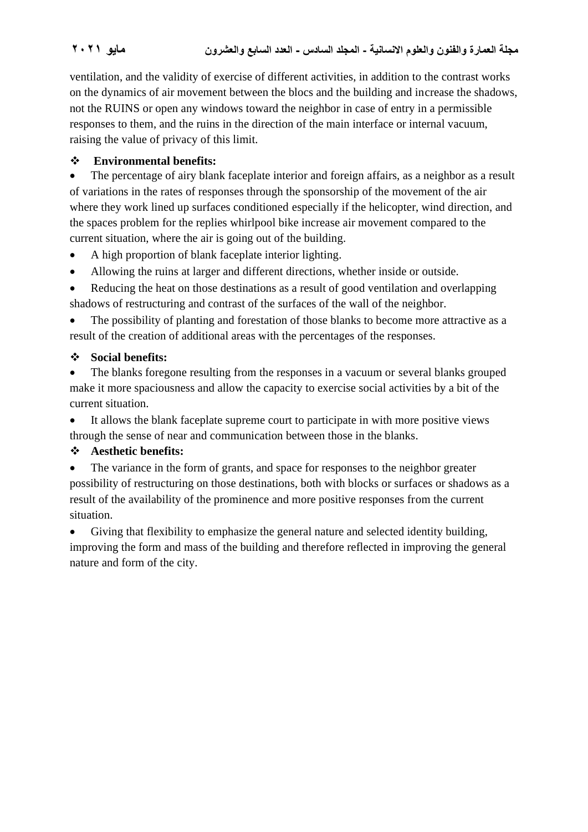ventilation, and the validity of exercise of different activities, in addition to the contrast works on the dynamics of air movement between the blocs and the building and increase the shadows, not the RUINS or open any windows toward the neighbor in case of entry in a permissible responses to them, and the ruins in the direction of the main interface or internal vacuum, raising the value of privacy of this limit.

## ❖ **Environmental benefits:**

• The percentage of airy blank faceplate interior and foreign affairs, as a neighbor as a result of variations in the rates of responses through the sponsorship of the movement of the air where they work lined up surfaces conditioned especially if the helicopter, wind direction, and the spaces problem for the replies whirlpool bike increase air movement compared to the current situation, where the air is going out of the building.

- A high proportion of blank faceplate interior lighting.
- Allowing the ruins at larger and different directions, whether inside or outside.
- Reducing the heat on those destinations as a result of good ventilation and overlapping shadows of restructuring and contrast of the surfaces of the wall of the neighbor.

• The possibility of planting and forestation of those blanks to become more attractive as a result of the creation of additional areas with the percentages of the responses.

### ❖ **Social benefits:**

• The blanks foregone resulting from the responses in a vacuum or several blanks grouped make it more spaciousness and allow the capacity to exercise social activities by a bit of the current situation.

• It allows the blank faceplate supreme court to participate in with more positive views through the sense of near and communication between those in the blanks.

## ❖ **Aesthetic benefits:**

The variance in the form of grants, and space for responses to the neighbor greater possibility of restructuring on those destinations, both with blocks or surfaces or shadows as a result of the availability of the prominence and more positive responses from the current situation.

• Giving that flexibility to emphasize the general nature and selected identity building, improving the form and mass of the building and therefore reflected in improving the general nature and form of the city.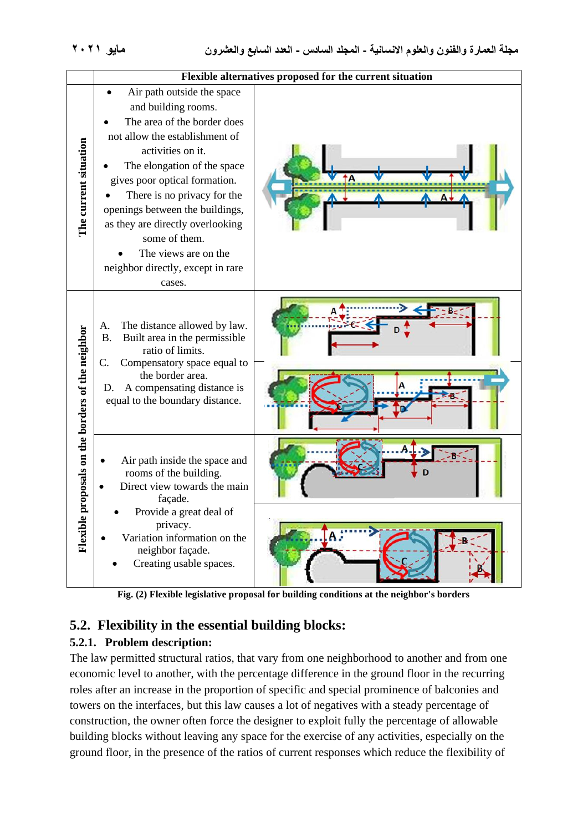

**Fig. (2) Flexible legislative proposal for building conditions at the neighbor's borders**

## **5.2. Flexibility in the essential building blocks:**

## **5.2.1. Problem description:**

The law permitted structural ratios, that vary from one neighborhood to another and from one economic level to another, with the percentage difference in the ground floor in the recurring roles after an increase in the proportion of specific and special prominence of balconies and towers on the interfaces, but this law causes a lot of negatives with a steady percentage of construction, the owner often force the designer to exploit fully the percentage of allowable building blocks without leaving any space for the exercise of any activities, especially on the ground floor, in the presence of the ratios of current responses which reduce the flexibility of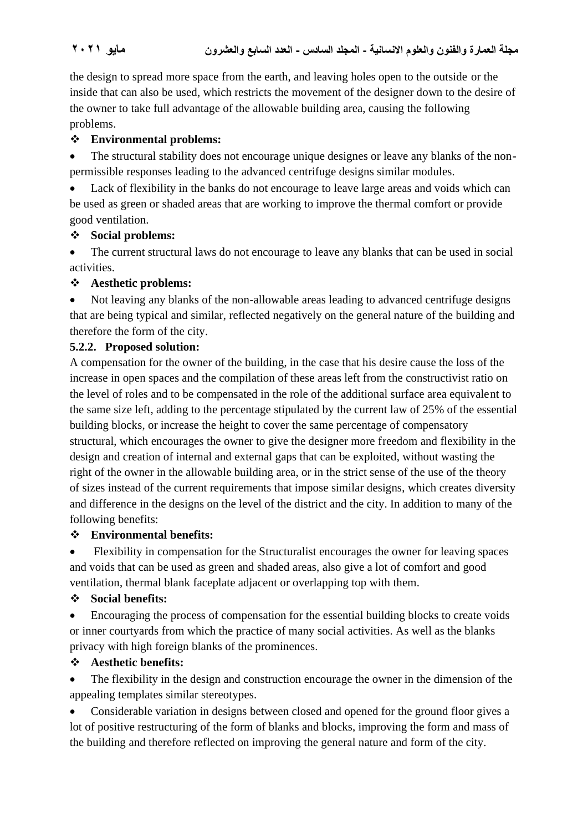the design to spread more space from the earth, and leaving holes open to the outside or the inside that can also be used, which restricts the movement of the designer down to the desire of the owner to take full advantage of the allowable building area, causing the following problems.

## ❖ **Environmental problems:**

• The structural stability does not encourage unique designes or leave any blanks of the nonpermissible responses leading to the advanced centrifuge designs similar modules.

Lack of flexibility in the banks do not encourage to leave large areas and voids which can be used as green or shaded areas that are working to improve the thermal comfort or provide good ventilation.

## ❖ **Social problems:**

• The current structural laws do not encourage to leave any blanks that can be used in social activities.

## ❖ **Aesthetic problems:**

• Not leaving any blanks of the non-allowable areas leading to advanced centrifuge designs that are being typical and similar, reflected negatively on the general nature of the building and therefore the form of the city.

## **5.2.2. Proposed solution:**

A compensation for the owner of the building, in the case that his desire cause the loss of the increase in open spaces and the compilation of these areas left from the constructivist ratio on the level of roles and to be compensated in the role of the additional surface area equivalent to the same size left, adding to the percentage stipulated by the current law of 25% of the essential building blocks, or increase the height to cover the same percentage of compensatory structural, which encourages the owner to give the designer more freedom and flexibility in the design and creation of internal and external gaps that can be exploited, without wasting the right of the owner in the allowable building area, or in the strict sense of the use of the theory of sizes instead of the current requirements that impose similar designs, which creates diversity and difference in the designs on the level of the district and the city. In addition to many of the following benefits:

## ❖ **Environmental benefits:**

• Flexibility in compensation for the Structuralist encourages the owner for leaving spaces and voids that can be used as green and shaded areas, also give a lot of comfort and good ventilation, thermal blank faceplate adjacent or overlapping top with them.

## ❖ **Social benefits:**

• Encouraging the process of compensation for the essential building blocks to create voids or inner courtyards from which the practice of many social activities. As well as the blanks privacy with high foreign blanks of the prominences.

## ❖ **Aesthetic benefits:**

The flexibility in the design and construction encourage the owner in the dimension of the appealing templates similar stereotypes.

• Considerable variation in designs between closed and opened for the ground floor gives a lot of positive restructuring of the form of blanks and blocks, improving the form and mass of the building and therefore reflected on improving the general nature and form of the city.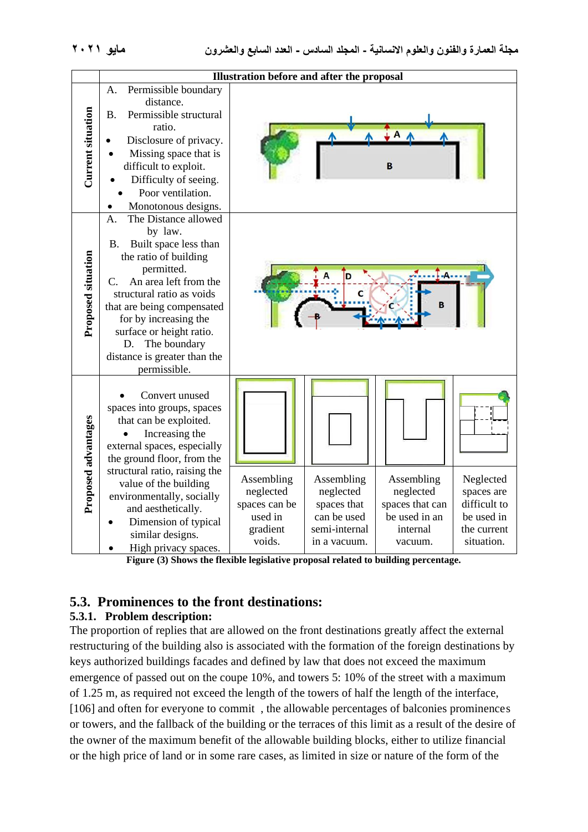| Illustration before and after the proposal |                                                                                                                                                                                                                                                                                                                                                     |                                                                           |                                                                                        |                                                                                    |                                                                                    |
|--------------------------------------------|-----------------------------------------------------------------------------------------------------------------------------------------------------------------------------------------------------------------------------------------------------------------------------------------------------------------------------------------------------|---------------------------------------------------------------------------|----------------------------------------------------------------------------------------|------------------------------------------------------------------------------------|------------------------------------------------------------------------------------|
| <b>Current situation</b>                   | Permissible boundary<br>A.<br>distance.<br><b>B.</b><br>Permissible structural<br>ratio.<br>Disclosure of privacy.<br>Missing space that is<br>difficult to exploit.<br>Difficulty of seeing.<br>Poor ventilation.<br>Monotonous designs.                                                                                                           |                                                                           |                                                                                        | в                                                                                  |                                                                                    |
| <b>Proposed situation</b>                  | The Distance allowed<br>$\mathbf{A}$ .<br>by law.<br>Built space less than<br><b>B.</b><br>the ratio of building<br>permitted.<br>An area left from the<br>C.<br>structural ratio as voids<br>that are being compensated<br>for by increasing the<br>surface or height ratio.<br>The boundary<br>D.<br>distance is greater than the<br>permissible. |                                                                           |                                                                                        | $-A -$<br>в                                                                        |                                                                                    |
| Proposed advantages                        | Convert unused<br>spaces into groups, spaces<br>that can be exploited.<br>Increasing the<br>external spaces, especially<br>the ground floor, from the<br>structural ratio, raising the<br>value of the building<br>environmentally, socially<br>and aesthetically.<br>Dimension of typical<br>similar designs.<br>High privacy spaces.              | Assembling<br>neglected<br>spaces can be<br>used in<br>gradient<br>voids. | Assembling<br>neglected<br>spaces that<br>can be used<br>semi-internal<br>in a vacuum. | Assembling<br>neglected<br>spaces that can<br>be used in an<br>internal<br>vacuum. | Neglected<br>spaces are<br>difficult to<br>be used in<br>the current<br>situation. |

**Figure (3) Shows the flexible legislative proposal related to building percentage.**

## **5.3. Prominences to the front destinations:**

## **5.3.1. Problem description:**

The proportion of replies that are allowed on the front destinations greatly affect the external restructuring of the building also is associated with the formation of the foreign destinations by keys authorized buildings facades and defined by law that does not exceed the maximum emergence of passed out on the coupe 10%, and towers 5: 10% of the street with a maximum of 1.25 m, as required not exceed the length of the towers of half the length of the interface, [106] and often for everyone to commit, the allowable percentages of balconies prominences or towers, and the fallback of the building or the terraces of this limit as a result of the desire of the owner of the maximum benefit of the allowable building blocks, either to utilize financial or the high price of land or in some rare cases, as limited in size or nature of the form of the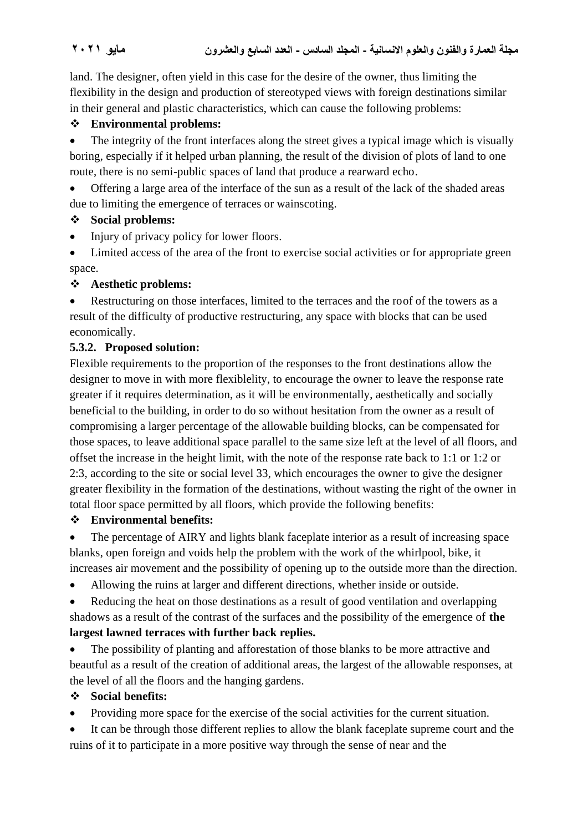land. The designer, often yield in this case for the desire of the owner, thus limiting the flexibility in the design and production of stereotyped views with foreign destinations similar in their general and plastic characteristics, which can cause the following problems:

## ❖ **Environmental problems:**

• The integrity of the front interfaces along the street gives a typical image which is visually boring, especially if it helped urban planning, the result of the division of plots of land to one route, there is no semi-public spaces of land that produce a rearward echo.

• Offering a large area of the interface of the sun as a result of the lack of the shaded areas due to limiting the emergence of terraces or wainscoting.

## ❖ **Social problems:**

- Injury of privacy policy for lower floors.
- Limited access of the area of the front to exercise social activities or for appropriate green space.

## ❖ **Aesthetic problems:**

• Restructuring on those interfaces, limited to the terraces and the roof of the towers as a result of the difficulty of productive restructuring, any space with blocks that can be used economically.

## **5.3.2. Proposed solution:**

Flexible requirements to the proportion of the responses to the front destinations allow the designer to move in with more flexiblelity, to encourage the owner to leave the response rate greater if it requires determination, as it will be environmentally, aesthetically and socially beneficial to the building, in order to do so without hesitation from the owner as a result of compromising a larger percentage of the allowable building blocks, can be compensated for those spaces, to leave additional space parallel to the same size left at the level of all floors, and offset the increase in the height limit, with the note of the response rate back to 1:1 or 1:2 or 2:3, according to the site or social level 33, which encourages the owner to give the designer greater flexibility in the formation of the destinations, without wasting the right of the owner in total floor space permitted by all floors, which provide the following benefits:

## ❖ **Environmental benefits:**

• The percentage of AIRY and lights blank faceplate interior as a result of increasing space blanks, open foreign and voids help the problem with the work of the whirlpool, bike, it increases air movement and the possibility of opening up to the outside more than the direction.

- Allowing the ruins at larger and different directions, whether inside or outside.
- Reducing the heat on those destinations as a result of good ventilation and overlapping shadows as a result of the contrast of the surfaces and the possibility of the emergence of **the largest lawned terraces with further back replies.**

• The possibility of planting and afforestation of those blanks to be more attractive and beautful as a result of the creation of additional areas, the largest of the allowable responses, at the level of all the floors and the hanging gardens.

## ❖ **Social benefits:**

- Providing more space for the exercise of the social activities for the current situation.
- It can be through those different replies to allow the blank faceplate supreme court and the ruins of it to participate in a more positive way through the sense of near and the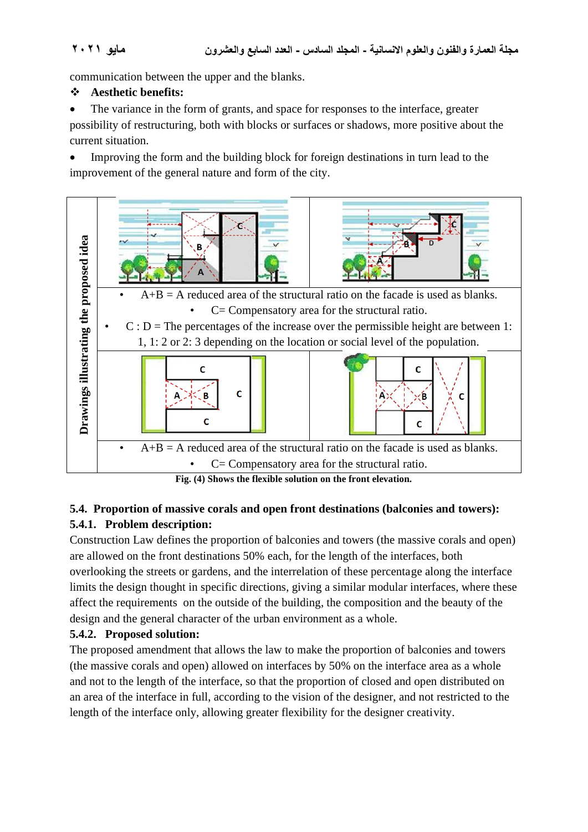communication between the upper and the blanks.

### ❖ **Aesthetic benefits:**

The variance in the form of grants, and space for responses to the interface, greater possibility of restructuring, both with blocks or surfaces or shadows, more positive about the current situation.

• Improving the form and the building block for foreign destinations in turn lead to the improvement of the general nature and form of the city.



## **5.4. Proportion of massive corals and open front destinations (balconies and towers): 5.4.1. Problem description:**

Construction Law defines the proportion of balconies and towers (the massive corals and open) are allowed on the front destinations 50% each, for the length of the interfaces, both overlooking the streets or gardens, and the interrelation of these percentage along the interface limits the design thought in specific directions, giving a similar modular interfaces, where these affect the requirements on the outside of the building, the composition and the beauty of the design and the general character of the urban environment as a whole.

## **5.4.2. Proposed solution:**

The proposed amendment that allows the law to make the proportion of balconies and towers (the massive corals and open) allowed on interfaces by 50% on the interface area as a whole and not to the length of the interface, so that the proportion of closed and open distributed on an area of the interface in full, according to the vision of the designer, and not restricted to the length of the interface only, allowing greater flexibility for the designer creativity.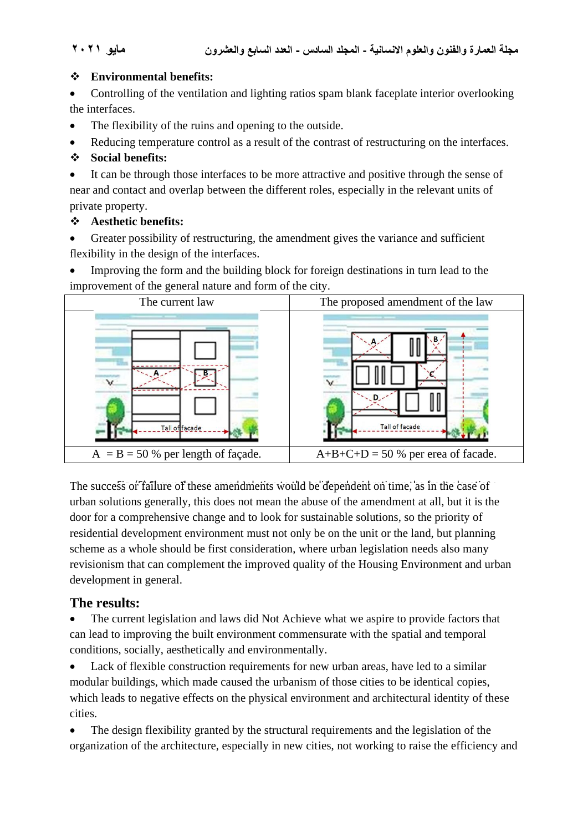### ❖ **Environmental benefits:**

• Controlling of the ventilation and lighting ratios spam blank faceplate interior overlooking the interfaces.

- The flexibility of the ruins and opening to the outside.
- Reducing temperature control as a result of the contrast of restructuring on the interfaces.

## ❖ **Social benefits:**

• It can be through those interfaces to be more attractive and positive through the sense of near and contact and overlap between the different roles, especially in the relevant units of private property.

## ❖ **Aesthetic benefits:**

Greater possibility of restructuring, the amendment gives the variance and sufficient flexibility in the design of the interfaces.

• Improving the form and the building block for foreign destinations in turn lead to the improvement of the general nature and form of the city.



The success of failure of these amendments would be dependent on time, as in the case of urban solutions generally, this does not mean the abuse of the amendment at all, but it is the door for a comprehensive change and to look for sustainable solutions, so the priority of residential development environment must not only be on the unit or the land, but planning scheme as a whole should be first consideration, where urban legislation needs also many revisionism that can complement the improved quality of the Housing Environment and urban development in general.

## **The results:**

The current legislation and laws did Not Achieve what we aspire to provide factors that can lead to improving the built environment commensurate with the spatial and temporal conditions, socially, aesthetically and environmentally.

• Lack of flexible construction requirements for new urban areas, have led to a similar modular buildings, which made caused the urbanism of those cities to be identical copies, which leads to negative effects on the physical environment and architectural identity of these cities.

• The design flexibility granted by the structural requirements and the legislation of the organization of the architecture, especially in new cities, not working to raise the efficiency and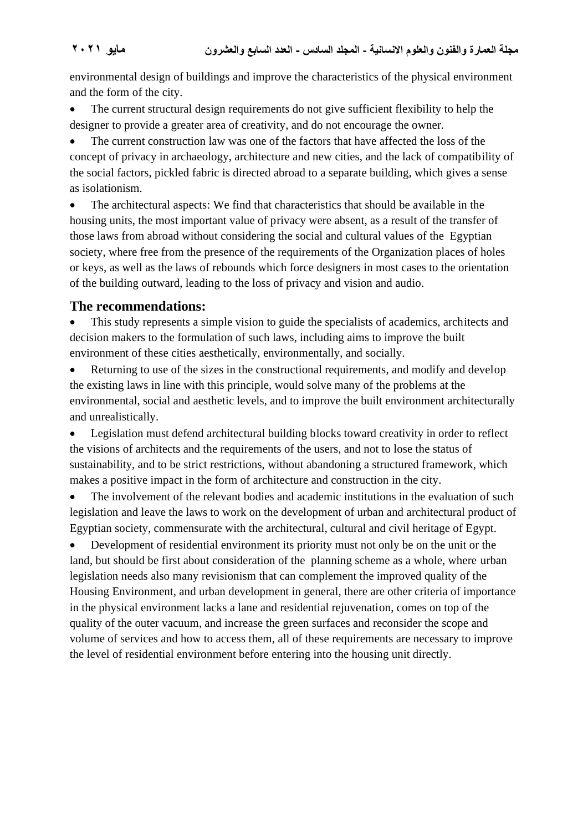environmental design of buildings and improve the characteristics of the physical environment and the form of the city.

• The current structural design requirements do not give sufficient flexibility to help the designer to provide a greater area of creativity, and do not encourage the owner.

The current construction law was one of the factors that have affected the loss of the concept of privacy in archaeology, architecture and new cities, and the lack of compatibility of the social factors, pickled fabric is directed abroad to a separate building, which gives a sense as isolationism.

The architectural aspects: We find that characteristics that should be available in the housing units, the most important value of privacy were absent, as a result of the transfer of those laws from abroad without considering the social and cultural values of the Egyptian society, where free from the presence of the requirements of the Organization places of holes or keys, as well as the laws of rebounds which force designers in most cases to the orientation of the building outward, leading to the loss of privacy and vision and audio.

## The recommendations:

This study represents a simple vision to guide the specialists of academics, architects and decision makers to the formulation of such laws, including aims to improve the built environment of these cities aesthetically, environmentally, and socially.

Returning to use of the sizes in the constructional requirements, and modify and develop the existing laws in line with this principle, would solve many of the problems at the environmental, social and aesthetic levels, and to improve the built environment architecturally and unrealistically.

• Legislation must defend architectural building blocks toward creativity in order to reflect the visions of architects and the requirements of the users, and not to lose the status of sustainability, and to be strict restrictions, without abandoning a structured framework, which makes a positive impact in the form of architecture and construction in the city.

The involvement of the relevant bodies and academic institutions in the evaluation of such legislation and leave the laws to work on the development of urban and architectural product of Egyptian society, commensurate with the architectural, cultural and civil heritage of Egypt.

• Development of residential environment its priority must not only be on the unit or the land, but should be first about consideration of the planning scheme as a whole, where urban legislation needs also many revisionism that can complement the improved quality of the Housing Environment, and urban development in general, there are other criteria of importance in the physical environment lacks a lane and residential rejuvenation, comes on top of the quality of the outer vacuum, and increase the green surfaces and reconsider the scope and volume of services and how to access them, all of these requirements are necessary to improve the level of residential environment before entering into the housing unit directly.